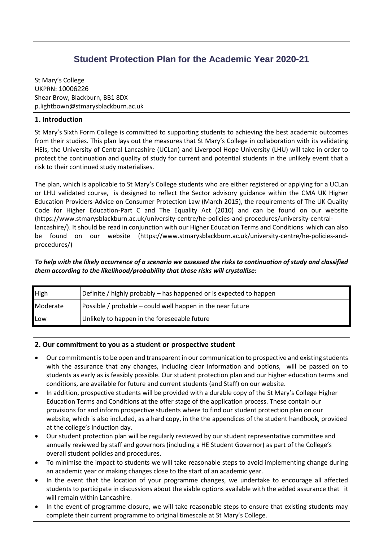# **Student Protection Plan for the Academic Year 2020-21**

St Mary's College UKPRN: 10006226 Shear Brow, Blackburn, BB1 8DX [p.lightbown@stmarysblackburn.ac.uk](mailto:aday@psc.ac.uk)

## **1. Introduction**

St Mary's Sixth Form College is committed to supporting students to achieving the best academic outcomes from their studies. This plan lays out the measures that St Mary's College in collaboration with its validating HEIs, the University of Central Lancashire (UCLan) and Liverpool Hope University (LHU) will take in order to protect the continuation and quality of study for current and potential students in the unlikely event that a risk to their continued study materialises.

The plan, which is applicable to St Mary's College students who are either registered or applying for a UCLan or LHU validated course, is designed to reflect the Sector advisory guidance within the CMA UK Higher Education Providers-Advice on Consumer Protection Law (March 2015), the requirements of The UK Quality Code for Higher Education-Part C and The Equality Act (2010) and can be found on our website (https://www.stmarysblackburn.ac.uk/university-centre/he-policies-and-procedures/university-centrallancashire/). It should be read in conjunction with our Higher Education Terms and Conditions which can also be found on our website [\(https://www.stmarysblackburn.ac.uk/university-centre/he-policies-and](https://www.stmarysblackburn.ac.uk/university-centre/he-policies-and-procedures/)[procedures/\)](https://www.stmarysblackburn.ac.uk/university-centre/he-policies-and-procedures/)

### *To help with the likely occurrence of a scenario we assessed the risks to continuation of study and classified them according to the likelihood/probability that those risks will crystallise:*

| High            | Definite / highly probably – has happened or is expected to happen |
|-----------------|--------------------------------------------------------------------|
| <b>Moderate</b> | Possible / probable – could well happen in the near future         |
| Low             | Unlikely to happen in the foreseeable future                       |

#### **2. Our commitment to you as a student or prospective student**

- Our commitment is to be open and transparent in our communication to prospective and existing students with the assurance that any changes, including clear information and options, will be passed on to students as early as is feasibly possible. Our student protection plan and our higher education terms and conditions, are available for future and current students (and Staff) on our website.
- In addition, prospective students will be provided with a durable copy of the St Mary's College Higher Education Terms and Conditions at the offer stage of the application process. These contain our provisions for and inform prospective students where to find our student protection plan on our website, which is also included, as a hard copy, in the the appendices of the student handbook, provided at the college's induction day.
- Our student protection plan will be regularly reviewed by our student representative committee and annually reviewed by staff and governors (including a HE Student Governor) as part of the College's overall student policies and procedures.
- To minimise the impact to students we will take reasonable steps to avoid implementing change during an academic year or making changes close to the start of an academic year.
- In the event that the location of your programme changes, we undertake to encourage all affected students to participate in discussions about the viable options available with the added assurance that it will remain within Lancashire.
- In the event of programme closure, we will take reasonable steps to ensure that existing students may complete their current programme to original timescale at St Mary's College.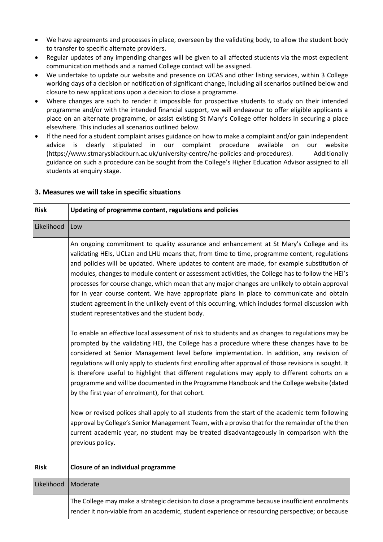- We have agreements and processes in place, overseen by the validating body, to allow the student body to transfer to specific alternate providers.
- Regular updates of any impending changes will be given to all affected students via the most expedient communication methods and a named College contact will be assigned.
- We undertake to update our website and presence on UCAS and other listing services, within 3 College working days of a decision or notification of significant change, including all scenarios outlined below and closure to new applications upon a decision to close a programme.
- Where changes are such to render it impossible for prospective students to study on their intended programme and/or with the intended financial support, we will endeavour to offer eligible applicants a place on an alternate programme, or assist existing St Mary's College offer holders in securing a place elsewhere. This includes all scenarios outlined below.
- If the need for a student complaint arises guidance on how to make a complaint and/or gain independent advice is clearly stipulated in our complaint procedure available on our website [\(https://www.stmarysblackburn.ac.uk/university-centre/he-policies-and-procedures\)](https://www.stmarysblackburn.ac.uk/university-centre/he-policies-and-procedures). Additionally guidance on such a procedure can be sought from the College's Higher Education Advisor assigned to all students at enquiry stage.

| <b>Risk</b> | Updating of programme content, regulations and policies                                                                                                                                                                                                                                                                                                                                                                                                                                                                                                                                                                                                                                                                                                                                                                                                                                                                                                                                                                                                                                                                                                                                                                                                                                                                                                                                                       |
|-------------|---------------------------------------------------------------------------------------------------------------------------------------------------------------------------------------------------------------------------------------------------------------------------------------------------------------------------------------------------------------------------------------------------------------------------------------------------------------------------------------------------------------------------------------------------------------------------------------------------------------------------------------------------------------------------------------------------------------------------------------------------------------------------------------------------------------------------------------------------------------------------------------------------------------------------------------------------------------------------------------------------------------------------------------------------------------------------------------------------------------------------------------------------------------------------------------------------------------------------------------------------------------------------------------------------------------------------------------------------------------------------------------------------------------|
| Likelihood  | Low                                                                                                                                                                                                                                                                                                                                                                                                                                                                                                                                                                                                                                                                                                                                                                                                                                                                                                                                                                                                                                                                                                                                                                                                                                                                                                                                                                                                           |
|             | An ongoing commitment to quality assurance and enhancement at St Mary's College and its<br>validating HEIs, UCLan and LHU means that, from time to time, programme content, regulations<br>and policies will be updated. Where updates to content are made, for example substitution of<br>modules, changes to module content or assessment activities, the College has to follow the HEI's<br>processes for course change, which mean that any major changes are unlikely to obtain approval<br>for in year course content. We have appropriate plans in place to communicate and obtain<br>student agreement in the unlikely event of this occurring, which includes formal discussion with<br>student representatives and the student body.<br>To enable an effective local assessment of risk to students and as changes to regulations may be<br>prompted by the validating HEI, the College has a procedure where these changes have to be<br>considered at Senior Management level before implementation. In addition, any revision of<br>regulations will only apply to students first enrolling after approval of those revisions is sought. It<br>is therefore useful to highlight that different regulations may apply to different cohorts on a<br>programme and will be documented in the Programme Handbook and the College website (dated<br>by the first year of enrolment), for that cohort. |
|             | New or revised polices shall apply to all students from the start of the academic term following<br>approval by College's Senior Management Team, with a proviso that for the remainder of the then<br>current academic year, no student may be treated disadvantageously in comparison with the<br>previous policy.                                                                                                                                                                                                                                                                                                                                                                                                                                                                                                                                                                                                                                                                                                                                                                                                                                                                                                                                                                                                                                                                                          |
| <b>Risk</b> | <b>Closure of an individual programme</b>                                                                                                                                                                                                                                                                                                                                                                                                                                                                                                                                                                                                                                                                                                                                                                                                                                                                                                                                                                                                                                                                                                                                                                                                                                                                                                                                                                     |
| Likelihood  | Moderate                                                                                                                                                                                                                                                                                                                                                                                                                                                                                                                                                                                                                                                                                                                                                                                                                                                                                                                                                                                                                                                                                                                                                                                                                                                                                                                                                                                                      |
|             | The College may make a strategic decision to close a programme because insufficient enrolments<br>render it non-viable from an academic, student experience or resourcing perspective; or because                                                                                                                                                                                                                                                                                                                                                                                                                                                                                                                                                                                                                                                                                                                                                                                                                                                                                                                                                                                                                                                                                                                                                                                                             |

## **3. Measures we will take in specific situations**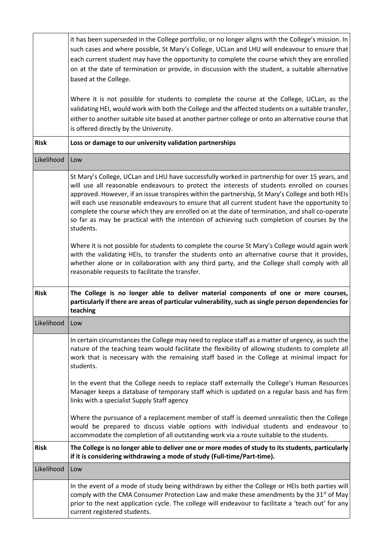|             | it has been superseded in the College portfolio; or no longer aligns with the College's mission. In<br>such cases and where possible, St Mary's College, UCLan and LHU will endeavour to ensure that<br>each current student may have the opportunity to complete the course which they are enrolled<br>on at the date of termination or provide, in discussion with the student, a suitable alternative<br>based at the College.<br>Where it is not possible for students to complete the course at the College, UCLan, as the                                                                                       |
|-------------|-----------------------------------------------------------------------------------------------------------------------------------------------------------------------------------------------------------------------------------------------------------------------------------------------------------------------------------------------------------------------------------------------------------------------------------------------------------------------------------------------------------------------------------------------------------------------------------------------------------------------|
|             | validating HEI, would work with both the College and the affected students on a suitable transfer,<br>either to another suitable site based at another partner college or onto an alternative course that<br>is offered directly by the University.                                                                                                                                                                                                                                                                                                                                                                   |
| <b>Risk</b> | Loss or damage to our university validation partnerships                                                                                                                                                                                                                                                                                                                                                                                                                                                                                                                                                              |
| Likelihood  | Low                                                                                                                                                                                                                                                                                                                                                                                                                                                                                                                                                                                                                   |
|             | St Mary's College, UCLan and LHU have successfully worked in partnership for over 15 years, and<br>will use all reasonable endeavours to protect the interests of students enrolled on courses<br>approved. However, if an issue transpires within the partnership, St Mary's College and both HEIs<br>will each use reasonable endeavours to ensure that all current student have the opportunity to<br>complete the course which they are enrolled on at the date of termination, and shall co-operate<br>so far as may be practical with the intention of achieving such completion of courses by the<br>students. |
|             | Where it is not possible for students to complete the course St Mary's College would again work<br>with the validating HEIs, to transfer the students onto an alternative course that it provides,<br>whether alone or in collaboration with any third party, and the College shall comply with all<br>reasonable requests to facilitate the transfer.                                                                                                                                                                                                                                                                |
| <b>Risk</b> | The College is no longer able to deliver material components of one or more courses,<br>particularly if there are areas of particular vulnerability, such as single person dependencies for<br>teaching                                                                                                                                                                                                                                                                                                                                                                                                               |
| Likelihood  | Low                                                                                                                                                                                                                                                                                                                                                                                                                                                                                                                                                                                                                   |
|             | In certain circumstances the College may need to replace staff as a matter of urgency, as such the<br>nature of the teaching team would facilitate the flexibility of allowing students to complete all<br>work that is necessary with the remaining staff based in the College at minimal impact for<br>students.                                                                                                                                                                                                                                                                                                    |
|             | In the event that the College needs to replace staff externally the College's Human Resources<br>Manager keeps a database of temporary staff which is updated on a regular basis and has firm<br>links with a specialist Supply Staff agency                                                                                                                                                                                                                                                                                                                                                                          |
|             | Where the pursuance of a replacement member of staff is deemed unrealistic then the College<br>would be prepared to discuss viable options with individual students and endeavour to<br>accommodate the completion of all outstanding work via a route suitable to the students.                                                                                                                                                                                                                                                                                                                                      |
| <b>Risk</b> | The College is no longer able to deliver one or more modes of study to its students, particularly<br>if it is considering withdrawing a mode of study (Full-time/Part-time).                                                                                                                                                                                                                                                                                                                                                                                                                                          |
| Likelihood  | Low                                                                                                                                                                                                                                                                                                                                                                                                                                                                                                                                                                                                                   |
|             | In the event of a mode of study being withdrawn by either the College or HEIs both parties will<br>comply with the CMA Consumer Protection Law and make these amendments by the 31 <sup>st</sup> of May<br>prior to the next application cycle. The college will endeavour to facilitate a 'teach out' for any<br>current registered students.                                                                                                                                                                                                                                                                        |